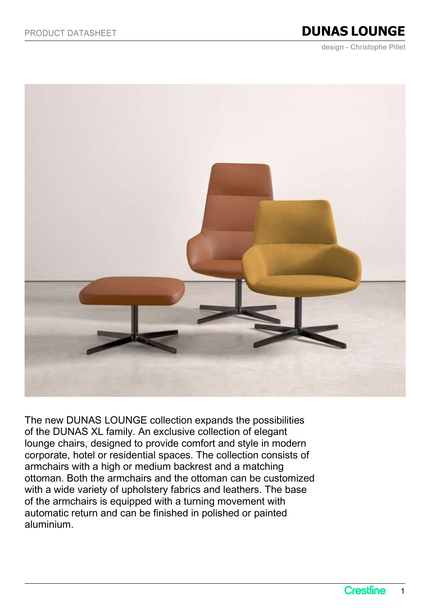## PRODUCT DATASHEET **DUNAS LOUNGE**

design - Christophe Pillet



The new DUNAS LOUNGE collection expands the possibilities of the DUNAS XL family. An exclusive collection of elegant lounge chairs, designed to provide comfort and style in modern corporate, hotel or residential spaces. The collection consists of armchairs with a high or medium backrest and a matching ottoman. Both the armchairs and the ottoman can be customized with a wide variety of upholstery fabrics and leathers. The base of the armchairs is equipped with a turning movement with automatic return and can be finished in polished or painted aluminium.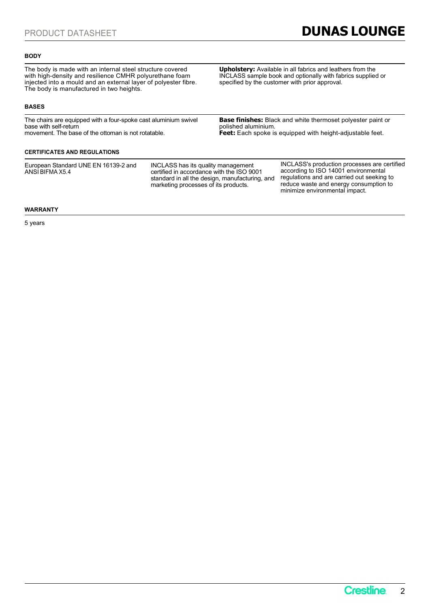Upholstery: Available in all fabrics and leathers from the INCLASS sample book and optionally with fabrics supplied or

**Base finishes:** Black and white thermoset polyester paint or

specified by the customer with prior approval.

polished aluminium.

### **BODY**

The body is made with an internal steel structure covered with high-density and resilience CMHR polyurethane foam injected into a mould and an external layer of polyester fibre. The body is manufactured in two heights.

### BASES

The chairs are equipped with a four-spoke cast aluminium swivel base with self-return movement. The base of the ottoman is not rotatable.

### CERTIFICATES AND REGULATIONS

European Standard UNE EN 16139-2 and

ANSI BIFMA X5.4 **certified in accordance with the ISO 9001** according to ISO INCLASS has its quality management standard in all the design, manufacturing, and marketing processes of its products.

INCLASS's production processes are certified according to ISO 14001 environmental regulations and are carried out seeking to reduce waste and energy consumption to minimize environmental impact.

**Feet:** Each spoke is equipped with height-adjustable feet.

### WARRANTY

5 years